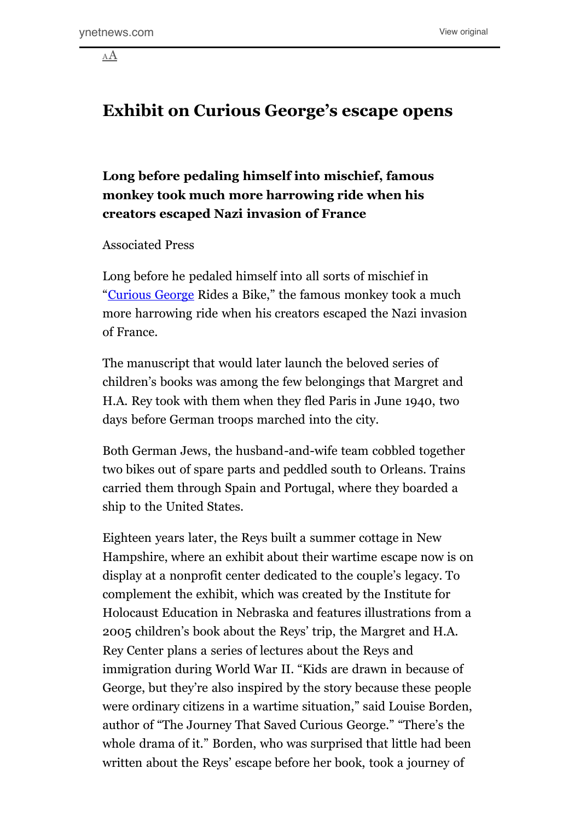[AA](http://www.instapaper.com/go/110830960/text#)

## **Exhibit on Curious George's escape opens**

## **Long before pedaling himself into mischief, famous monkey took much more harrowing ride when his creators escaped Nazi invasion of France**

Associated Press

Long before he pedaled himself into all sorts of mischief in "[Curious George](http://www.ynetnews.com/articles/0,7340,L-3867576,00.html) Rides a Bike," the famous monkey took a much more harrowing ride when his creators escaped the Nazi invasion of France.

The manuscript that would later launch the beloved series of children's books was among the few belongings that Margret and H.A. Rey took with them when they fled Paris in June 1940, two days before German troops marched into the city.

Both German Jews, the husband-and-wife team cobbled together two bikes out of spare parts and peddled south to Orleans. Trains carried them through Spain and Portugal, where they boarded a ship to the United States.

Eighteen years later, the Reys built a summer cottage in New Hampshire, where an exhibit about their wartime escape now is on display at a nonprofit center dedicated to the couple's legacy. To complement the exhibit, which was created by the Institute for Holocaust Education in Nebraska and features illustrations from a 2005 children's book about the Reys' trip, the Margret and H.A. Rey Center plans a series of lectures about the Reys and immigration during World War II. "Kids are drawn in because of George, but they're also inspired by the story because these people were ordinary citizens in a wartime situation," said Louise Borden, author of "The Journey That Saved Curious George." "There's the whole drama of it." Borden, who was surprised that little had been written about the Reys' escape before her book, took a journey of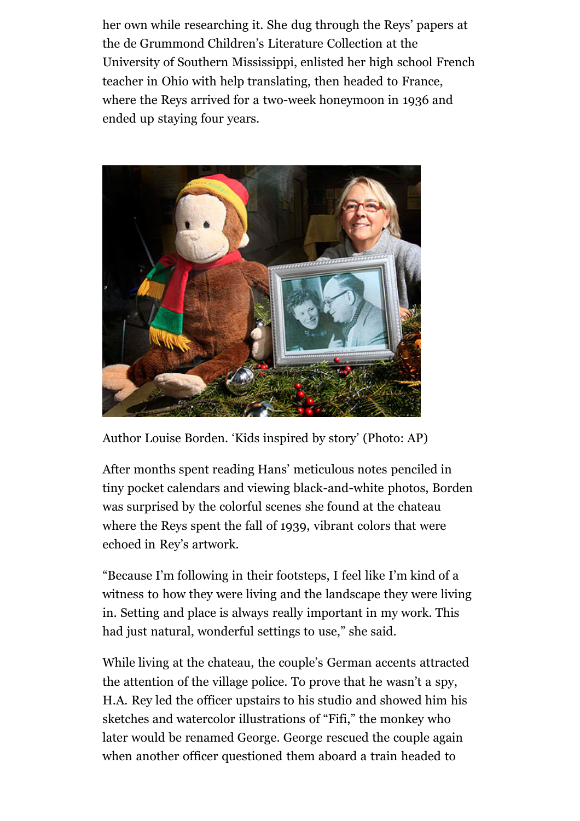her own while researching it. She dug through the Reys' papers at the de Grummond Children's Literature Collection at the University of Southern Mississippi, enlisted her high school French teacher in Ohio with help translating, then headed to France, where the Reys arrived for a two-week honeymoon in 1936 and ended up staying four years.



Author Louise Borden. 'Kids inspired by story' (Photo: AP)

After months spent reading Hans' meticulous notes penciled in tiny pocket calendars and viewing black-and-white photos, Borden was surprised by the colorful scenes she found at the chateau where the Reys spent the fall of 1939, vibrant colors that were echoed in Rey's artwork.

"Because I'm following in their footsteps, I feel like I'm kind of a witness to how they were living and the landscape they were living in. Setting and place is always really important in my work. This had just natural, wonderful settings to use," she said.

While living at the chateau, the couple's German accents attracted the attention of the village police. To prove that he wasn't a spy, H.A. Rey led the officer upstairs to his studio and showed him his sketches and watercolor illustrations of "Fifi," the monkey who later would be renamed George. George rescued the couple again when another officer questioned them aboard a train headed to